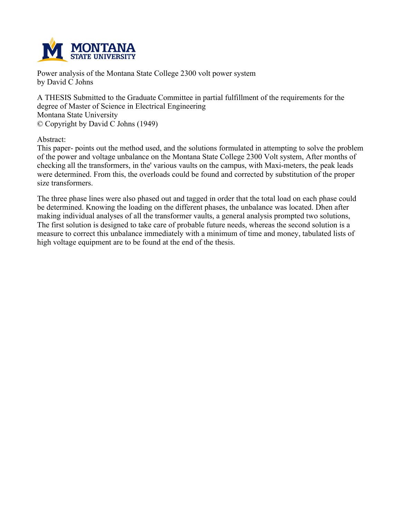

**Power analysis of the Montana State College 2300 volt power system by David C Johns**

**A THESIS Submitted to the Graduate Committee in partial fulfillment of the requirements for the degree of Master of Science in Electrical Engineering Montana State University © Copyright by David C Johns (1949)**

**Abstract:**

**This paper- points out the method used, and the solutions formulated in attempting to solve the problem of the power and voltage unbalance on the Montana State College 2300 Volt system, After months of checking all the transformers, in the' various vaults on the campus, with Maxi-meters, the peak leads were determined. From this, the overloads could be found and corrected by substitution of the proper size transformers.**

The three phase lines were also phased out and tagged in order that the total load on each phase could **be determined. Knowing the loading on the different phases, the unbalance was located. Dhen after making individual analyses of all the transformer vaults, a general analysis prompted two solutions,** The first solution is designed to take care of probable future needs, whereas the second solution is a **measure to correct this unbalance immediately with a minimum of time and money, tabulated lists of high voltage equipment are to be found at the end of the thesis.**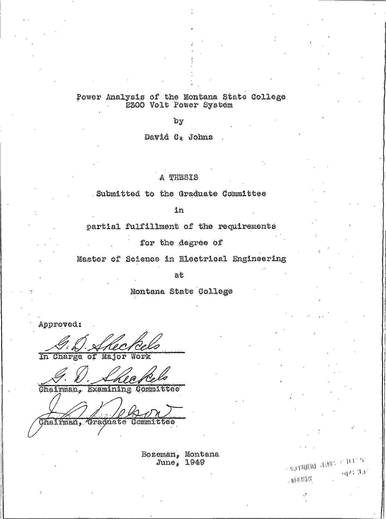# Power Analysis of the Montana State College<br>2300 Volt Power System

 $b_y$ 

David O\* Johns

### A THESIS

Submitted to the Graduate Committee

in

partial fulfillment of the requirements

for the degree of

Master of Science in Electrical Engineering

ať

Montana State College

Approved:

In Charge of Major Work

Chairman, Examining Committee

Chaliman, Graduate Committee

Bozeman, Montana June, 1949

 $\leq \det \mathrm{DiffRHS} \cdot \mathrm{diff}(\mathbb{C}^{\times}) \subset \mathcal{I}(\mathcal{F}, \mathbb{C}^{\times})$ 

 $\mathcal{A}/\mathcal{L}(\mathcal{M})$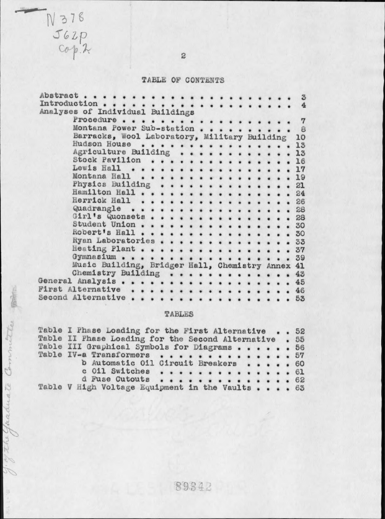## TABLE OF CONTENTS

| Abstract                                         |  |  |  | $\ddot{\circ}$ |
|--------------------------------------------------|--|--|--|----------------|
|                                                  |  |  |  |                |
| Analyses of Individual Buildings                 |  |  |  |                |
| Procedure                                        |  |  |  |                |
| Montana Power Sub-station                        |  |  |  | 8              |
| Barracks, Wool Laboratory, Military Building     |  |  |  | 10             |
| Hudson House<br>.                                |  |  |  | 13             |
| Agriculture Building 13                          |  |  |  |                |
| Stock Pavilion                                   |  |  |  | 16             |
| Lewis Hall 17                                    |  |  |  |                |
| Montana Hall 19                                  |  |  |  |                |
| Physics Building 21                              |  |  |  |                |
| Hamilton Hall 24                                 |  |  |  |                |
| Herrick Hall 26                                  |  |  |  |                |
| Quadrangle 28                                    |  |  |  |                |
| Girl's Quonsets 28                               |  |  |  |                |
| Student Union 30                                 |  |  |  |                |
| Robert's Hall 30                                 |  |  |  |                |
| Ryan Laboratories 33                             |  |  |  |                |
| Heating Plant 37                                 |  |  |  |                |
| Gymnasium 39                                     |  |  |  |                |
| Music Building, Bridger Hall, Chemistry Annex 41 |  |  |  |                |
| Chemistry Building                               |  |  |  | 43             |
| General Analysis                                 |  |  |  | 45             |
| First Alternative 46                             |  |  |  |                |
|                                                  |  |  |  |                |
|                                                  |  |  |  | 53             |
|                                                  |  |  |  |                |

## TABLES

| Table I Phase Loading for the First Alternative 52     |  |
|--------------------------------------------------------|--|
| Table II Phase Loading for the Second Alternative . 55 |  |
| Table III Graphical Symbols for Diagrams 56            |  |
| Table IV-a Transformers 57                             |  |
| b Automatic Oil Circuit Breakers 60                    |  |
| c Oil Switches 61                                      |  |
| d Fuse Cutouts 62                                      |  |
| Table V High Voltage Equipment in the Vaults 63        |  |

89342

 $\rm{^{2}}$ 

 $N378  
\nJ62p  
\nCopp.$ 

J. of the Graduate Committee prin

 $\frac{1}{\sqrt{2}}$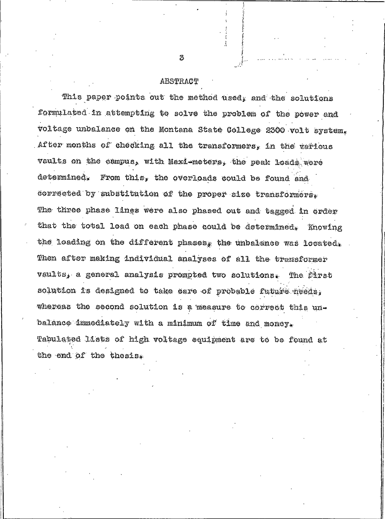#### ABSTRACT

This paper points out the method used, and the solutions formulated in attempting to solve the problem of the power and voltage unbalance on the Montana State College 2300 volt system, After months of checking all the transformers, in the tarious vaults on the campus, with Maxi-meters, the peak loads were determined. From this, the overloads could be found and corrected by substitution of the proper size transformers. The three phase lines were also phased out and tagged in order that the total load on each phase could be determined, Knowing the loading on the different phases, the unbalance was located, Then after making individual analyses of all the transformer vaults, a general analysis prompted two solutions. The first solution is designed to take care of probable future needs, whereas the second solution is a measure to correct this unbalance immediately with a minimum of time and money. Tabulated lists of high voltage equipment are to be found at the end of the thesis.

З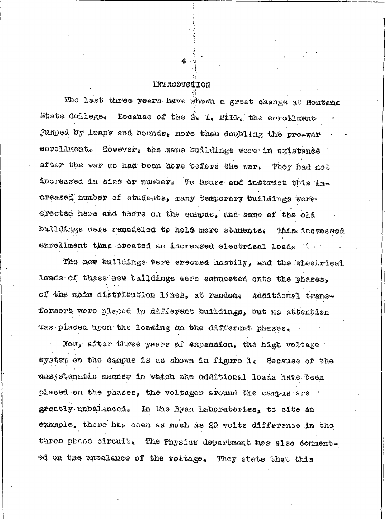## INTRODUCTION

The last three years have shown a great change at Montana State College. Because of the G. I. Bill, the enrollment jumped by leaps and bounds, more than doubling the pre-war enrollment. However, the same buildings were in existance after the war as had been here before the war. They had not increased in size or number. To house and instruct this increased number of students, many temporary buildings were. evected here and there on the campus, and some of the old buildings were remodeled to hold more students. This increased enrollment thus created an increased electrical load.

The new buildings were erected hastlly, and the electrical loads of these new buildings were connected onto the phases, of the main distribution lines, at random. Additional transformers were placed in different buildings, but no attention was placed upon the loading on the different phases.

Now, after three years of expansion, the high voltage system on the campus is as shown in figure 1. Because of the unsystematic manner in which the additional loads have been placed on the phases, the voltages around the campus are greatly unbalanced. In the Ryan Laboratories, to cite an example, there has been as much as 20 volts difference in the three phase circuit. The Physics department has also commented on the unbalance of the voltage. They state that this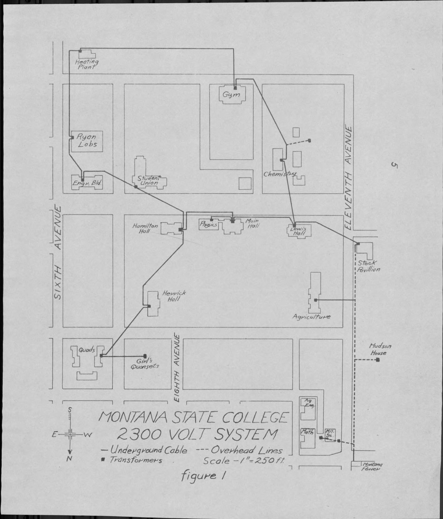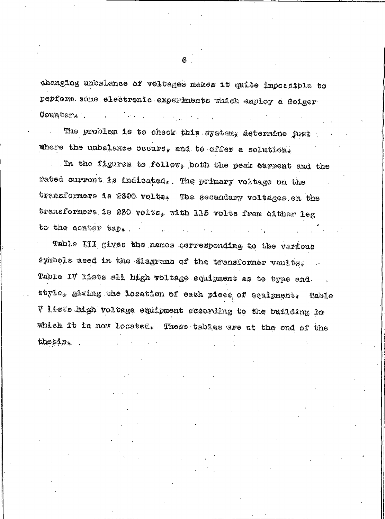changing unbalance of voltages makes it quite impossible to perform some electronic experiments which employ a Geiger Counter.

The problem is to check this system, determine just where the unbalance occurs, and to offer a solution,

In the figures to follow, both the peak current and the rated current is indicated. The primary voltage on the transformers is 2300 volts. The secondary voltages on the transformers is 230 volts, with 115 volts from either leg to the center tap.  $\mathcal{L}^{\text{max}}$ 

Table III gives the names corresponding to the various symbols used in the diagrams of the transformer vaults. Table IV lists all high voltage equipment as to type and style, giving the location of each piece of equipment. Table V lists high voltage equipment according to the building in which it is now located. These tables are at the end of the  $thesing$ 

6.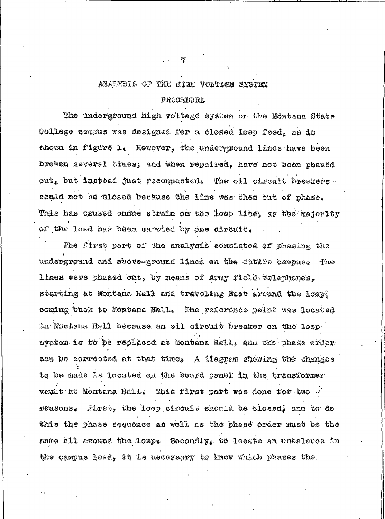## ANALYSIS OF THE HIGH VOLTAGE SYSTEM

#### PROCEDURE

The underground high voltage system on the Montana State College campus was designed for a closed loop feed, as is shown in figure  $1$ . However, the underground lines have been broken several times, and when repaired, have not been phased out, but instead just reconnected. The oil circuit breakers could not be closed because the line was then out of phase. This has caused undue strain on the loop line, as the majority of the load has been carried by one circuit.

The first part of the analysis consisted of phasing the underground and above-ground lines on the entire campus. The lines were phased out, by means of Army field telephones. starting at Montana Hall and traveling Bast around the loop. coming back to Montana Hall. The reference point was located in Montena Hall because an oil circuit breaker on the loop system is to be replaced at Montana Hall, and the phase order can be corrected at that time. A diagram showing the changes to be made is located on the board panel in the transformer vault at Montana Hall. This first part was done for two ... First, the loop circuit should be closed, and to do **POASORS** this the phase sequence as well as the phase order must be the same all around the loop. Secondly, to locate an unbalance in the campus load, it is necessary to know which phases the.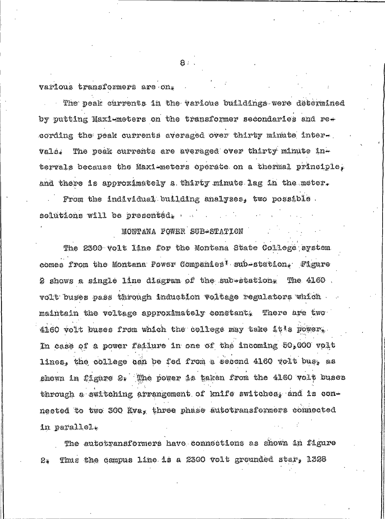various transformers are on.

The peak currents in the various buildings were determined by putting Maxi-meters on the transformer secondaries and recording the peak currents averaged over thirty minate inter $\star$ . The peak currents are averaged over thirty minute invals. tervals because the Maxi-meters operate on a thermal principle, and there is approximately a thirty minute lag in the meter.

From the individual building analyses, two possible. solutions will be presented, ...

## MONTANA FOWER SUB-STATION

The 2300 volt line for the Montana State College aystem comes from the Montana Power Companies<sup>\*</sup> sub-station. Figure 2 shows a single line diagram of the sub-station. The 4160 volt buses pass through induction voltage regulators which maintain the voltage approximately constant. There are two 4160 volt buses from which the college may take it to power. In case of a power failure in one of the incoming 50,000 volt lines, the college can be fed from a second 4160 volt bus, as shown in figure 2. The power is taken from the 4160 volt buses through a switching arrangement of knife switches, and is connected to two 300 Kva, three phase autotransformers connected in parallel.

The autotransformers have connections as shown in figure Thus the campus line is a 2300 volt grounded star, 1328 **e.** 

 $8 -$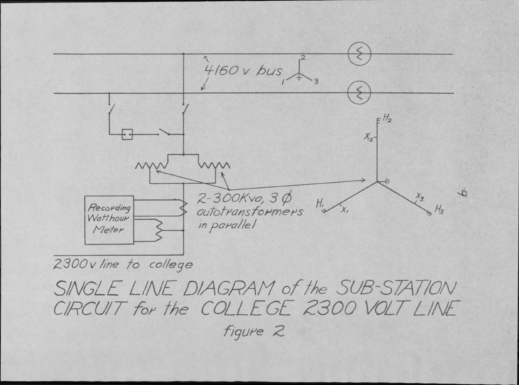

2300 v line to college

SINGLE LINE DIAGRAM of the SUB-STATION CIRCUIT for the COLLEGE 2300 VOLT LINE

figure 2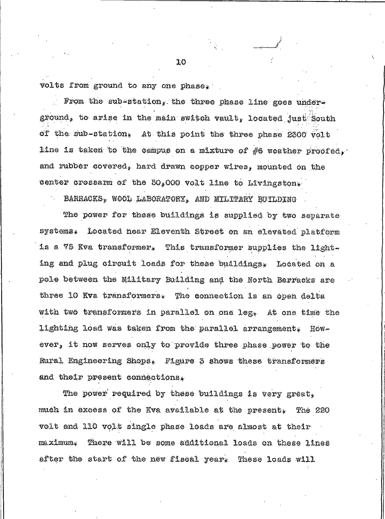volts from ground to any one phase.

From the sub-station, the three phase line goes underground, to arise in the main switch vault, located just South of the sub-station, At this point the three phase 2300 volt line is taken to the campus on a mixture of  $\#6$  weather proofed, and rubber covered, hard drawn copper wires, mounted on the center crossarm of the 50,000 volt line to Livingston.

BARRACKS, WOOD LABORATORY, AND MILITARY BUILDING

The power for these buildings is supplied by two separate systems. Located hear Eleventh Street on an elevated platform is a 75 Kva transformer. This transformer supplies the lighting and plug circuit loads for these buildings. Located on a pole between the Military Building and the North Barracks are three 10 Kva transformers. The connection is an open delta with two transformers in parallel on one leg. At one time the lighting load was taken from the parallel arrangement. However, it now serves only to provide three phase power to the Rural Engineering Shops. Figure 3 shows these transformers and their present connections.

The power required by these buildings is very great, much in excess of the Kva available at the present, The 220 volt and 110 volt single phase loads are almost at their ma ximum. There will be some additional loads on these lines after the start of the new fiscal year. These loads will

10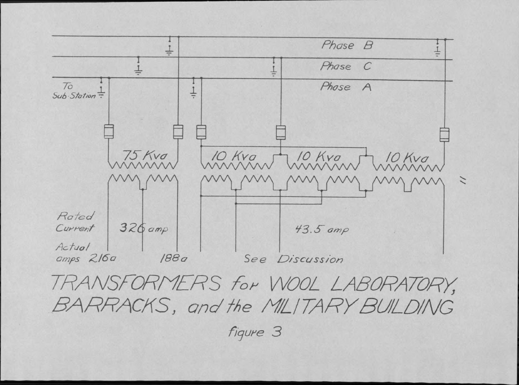

TRANSFORMERS for WOOL LABORATORY, BARRACKS, and the MILITARY BUILDING

figure 3